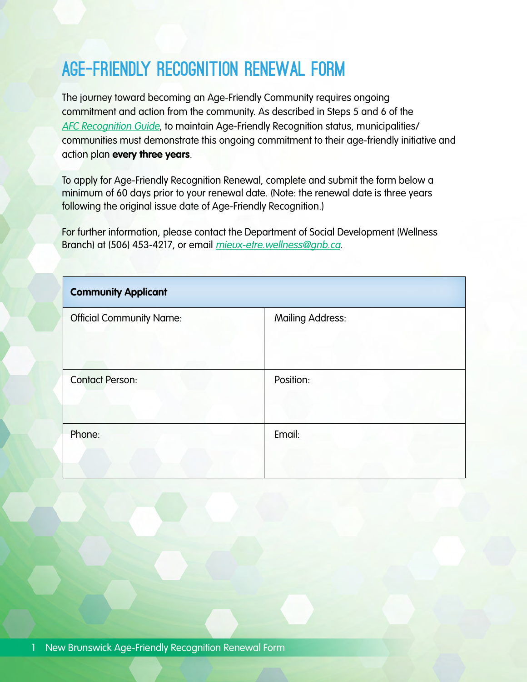# Age-Friendly Recognition Renewal Form

The journey toward becoming an Age-Friendly Community requires ongoing commitment and action from the community. As described in Steps 5 and 6 of the [AFC Recognition Guide](http://www.wellnessnb.ca/resources/age-friendly-guide/), to maintain Age-Friendly Recognition status, municipalities/ communities must demonstrate this ongoing commitment to their age-friendly initiative and action plan **every three years**.

To apply for Age-Friendly Recognition Renewal, complete and submit the form below a minimum of 60 days prior to your renewal date. (Note: the renewal date is three years following the original issue date of Age-Friendly Recognition.)

For further information, please contact the Department of Social Development (Wellness Branch) at (506) 453-4217, or email *mieux-etre.wellness@gnb.ca.* 

| <b>Community Applicant</b>      |                         |  |  |  |
|---------------------------------|-------------------------|--|--|--|
| <b>Official Community Name:</b> | <b>Mailing Address:</b> |  |  |  |
| <b>Contact Person:</b>          | Position:               |  |  |  |
| Phone:                          | Email:                  |  |  |  |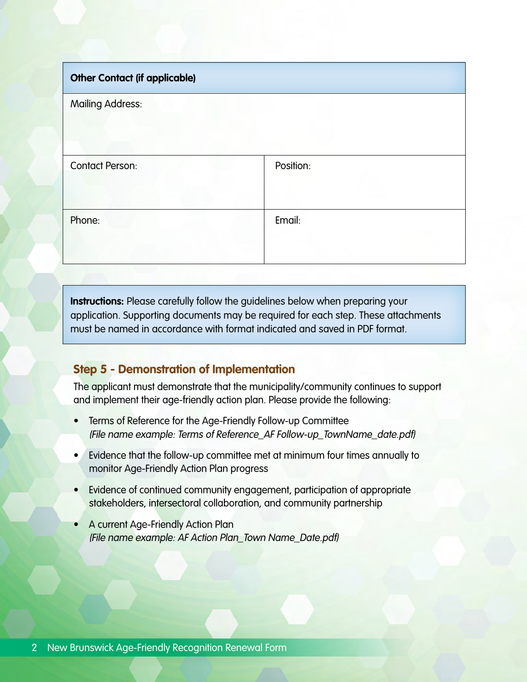| <b>Other Contact (if applicable)</b> |           |
|--------------------------------------|-----------|
| <b>Mailing Address:</b>              |           |
| <b>Contact Person:</b>               | Position: |
| Phone:                               | Email:    |

**Instructions:** Please carefully follow the guidelines below when preparing your application. Supporting documents may be required for each step. These attachments must be named in accordance with format indicated and saved in PDF format.

## **Step 5 - Demonstration of Implementation**

The applicant must demonstrate that the municipality/community continues to support and implement their age-friendly action plan. Please provide the following:

- Terms of Reference for the Age-Friendly Follow-up Committee (File name example: Terms of Reference\_AF Follow-up\_TownName\_date.pdf)
- Evidence that the follow-up committee met at minimum four times annually to monitor Age-Friendly Action Plan progress
- Evidence of continued community engagement, participation of appropriate stakeholders, intersectoral collaboration, and community partnership
- A current Age-Friendly Action Plan (File name example: AF Action Plan\_Town Name\_Date.pdf)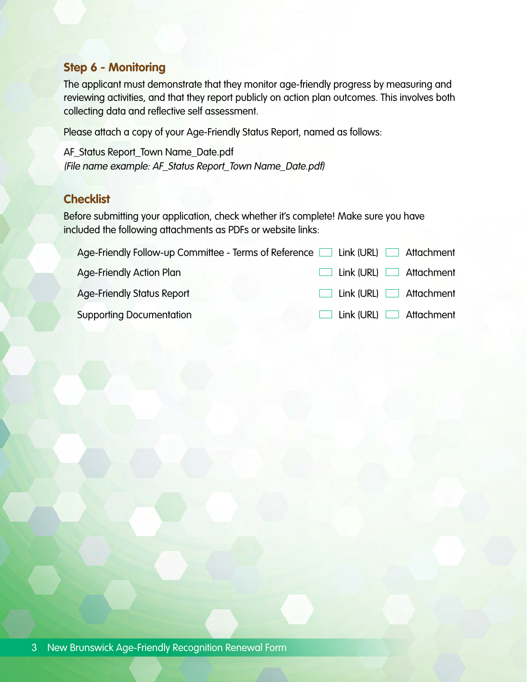### **Step 6 - Monitoring**

The applicant must demonstrate that they monitor age-friendly progress by measuring and reviewing activities, and that they report publicly on action plan outcomes. This involves both collecting data and reflective self assessment.

Please attach a copy of your Age-Friendly Status Report, named as follows:

AF\_Status Report\_Town Name\_Date.pdf (File name example: AF\_Status Report\_Town Name\_Date.pdf)

## **Checklist**

Before submitting your application, check whether it's complete! Make sure you have included the following attachments as PDFs or website links:

| Age-Friendly Follow-up Committee - Terms of Reference $\Box$ Link (URL) $\Box$ Attachment |  |                                     |
|-------------------------------------------------------------------------------------------|--|-------------------------------------|
| <b>Age-Friendly Action Plan</b>                                                           |  | $\Box$ Link (URL) $\Box$ Attachment |
| <b>Age-Friendly Status Report</b>                                                         |  | $\Box$ Link (URL) $\Box$ Attachment |
| <b>Supporting Documentation</b>                                                           |  | $\Box$ Link (URL) $\Box$ Attachment |
|                                                                                           |  |                                     |